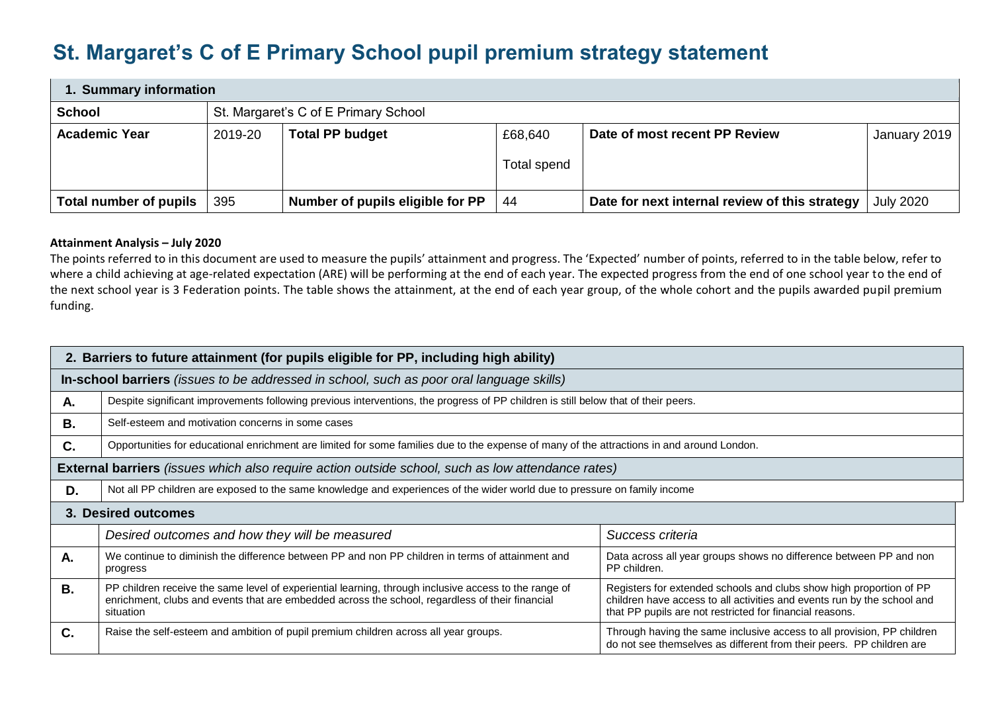# **St. Margaret's C of E Primary School pupil premium strategy statement**

| 1. Summary information        |         |                                      |                        |                                                |                  |  |  |  |
|-------------------------------|---------|--------------------------------------|------------------------|------------------------------------------------|------------------|--|--|--|
| <b>School</b>                 |         | St. Margaret's C of E Primary School |                        |                                                |                  |  |  |  |
| <b>Academic Year</b>          | 2019-20 | <b>Total PP budget</b>               | £68,640<br>Total spend | Date of most recent PP Review                  | January 2019     |  |  |  |
| <b>Total number of pupils</b> | 395     | Number of pupils eligible for PP     | 44                     | Date for next internal review of this strategy | <b>July 2020</b> |  |  |  |

### **Attainment Analysis – July 2020**

The points referred to in this document are used to measure the pupils' attainment and progress. The 'Expected' number of points, referred to in the table below, refer to where a child achieving at age-related expectation (ARE) will be performing at the end of each year. The expected progress from the end of one school year to the end of the next school year is 3 Federation points. The table shows the attainment, at the end of each year group, of the whole cohort and the pupils awarded pupil premium funding.

| 2. Barriers to future attainment (for pupils eligible for PP, including high ability)                    |                                                                                                                                                                                                                                                                                                                                                                                                                                     |                                                                                                                                                |  |  |  |  |
|----------------------------------------------------------------------------------------------------------|-------------------------------------------------------------------------------------------------------------------------------------------------------------------------------------------------------------------------------------------------------------------------------------------------------------------------------------------------------------------------------------------------------------------------------------|------------------------------------------------------------------------------------------------------------------------------------------------|--|--|--|--|
|                                                                                                          | In-school barriers (issues to be addressed in school, such as poor oral language skills)                                                                                                                                                                                                                                                                                                                                            |                                                                                                                                                |  |  |  |  |
| А.                                                                                                       | Despite significant improvements following previous interventions, the progress of PP children is still below that of their peers.                                                                                                                                                                                                                                                                                                  |                                                                                                                                                |  |  |  |  |
| <b>B.</b>                                                                                                | Self-esteem and motivation concerns in some cases                                                                                                                                                                                                                                                                                                                                                                                   |                                                                                                                                                |  |  |  |  |
| C.                                                                                                       | Opportunities for educational enrichment are limited for some families due to the expense of many of the attractions in and around London.                                                                                                                                                                                                                                                                                          |                                                                                                                                                |  |  |  |  |
| <b>External barriers</b> (issues which also require action outside school, such as low attendance rates) |                                                                                                                                                                                                                                                                                                                                                                                                                                     |                                                                                                                                                |  |  |  |  |
| D.                                                                                                       | Not all PP children are exposed to the same knowledge and experiences of the wider world due to pressure on family income                                                                                                                                                                                                                                                                                                           |                                                                                                                                                |  |  |  |  |
|                                                                                                          | 3. Desired outcomes                                                                                                                                                                                                                                                                                                                                                                                                                 |                                                                                                                                                |  |  |  |  |
|                                                                                                          | Desired outcomes and how they will be measured                                                                                                                                                                                                                                                                                                                                                                                      | Success criteria                                                                                                                               |  |  |  |  |
| Α.                                                                                                       | We continue to diminish the difference between PP and non PP children in terms of attainment and<br>progress                                                                                                                                                                                                                                                                                                                        | Data across all year groups shows no difference between PP and non<br>PP children.                                                             |  |  |  |  |
| В.                                                                                                       | PP children receive the same level of experiential learning, through inclusive access to the range of<br>Registers for extended schools and clubs show high proportion of PP<br>enrichment, clubs and events that are embedded across the school, regardless of their financial<br>children have access to all activities and events run by the school and<br>that PP pupils are not restricted for financial reasons.<br>situation |                                                                                                                                                |  |  |  |  |
| C.                                                                                                       | Raise the self-esteem and ambition of pupil premium children across all year groups.                                                                                                                                                                                                                                                                                                                                                | Through having the same inclusive access to all provision, PP children<br>do not see themselves as different from their peers. PP children are |  |  |  |  |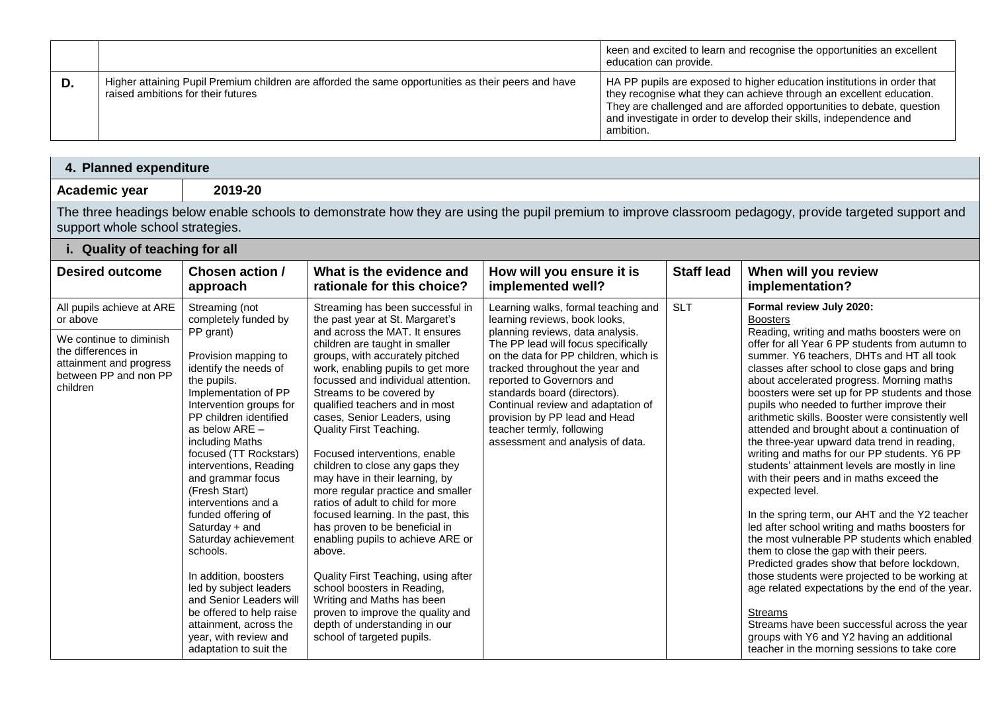|                                                                                                                                           | keen and excited to learn and recognise the opportunities an excellent<br>education can provide.                                                                                                                                                                                                             |
|-------------------------------------------------------------------------------------------------------------------------------------------|--------------------------------------------------------------------------------------------------------------------------------------------------------------------------------------------------------------------------------------------------------------------------------------------------------------|
| Higher attaining Pupil Premium children are afforded the same opportunities as their peers and have<br>raised ambitions for their futures | HA PP pupils are exposed to higher education institutions in order that<br>they recognise what they can achieve through an excellent education.<br>They are challenged and are afforded opportunities to debate, question<br>and investigate in order to develop their skills, independence and<br>ambition. |

## **4. Planned expenditure**

**Academic year 2019-20**

The three headings below enable schools to demonstrate how they are using the pupil premium to improve classroom pedagogy, provide targeted support and support whole school strategies.

### **i. Quality of teaching for all**

| <b>Desired outcome</b>                                                                                                                                 | Chosen action /<br>approach                                                                                                                                                                                                                                                                                                                                                                                                          | What is the evidence and<br>rationale for this choice?                                                                                                                                                                                                                                                                                                                                                                                                                                                                                                                                                                                                                                        | How will you ensure it is<br>implemented well?                                                                                                                                                                                                                                                                                                                                                                                   | <b>Staff lead</b> | When will you review<br>implementation?                                                                                                                                                                                                                                                                                                                                                                                                                                                                                                                                                                                                                                                                                                                                                                                                                                                                        |
|--------------------------------------------------------------------------------------------------------------------------------------------------------|--------------------------------------------------------------------------------------------------------------------------------------------------------------------------------------------------------------------------------------------------------------------------------------------------------------------------------------------------------------------------------------------------------------------------------------|-----------------------------------------------------------------------------------------------------------------------------------------------------------------------------------------------------------------------------------------------------------------------------------------------------------------------------------------------------------------------------------------------------------------------------------------------------------------------------------------------------------------------------------------------------------------------------------------------------------------------------------------------------------------------------------------------|----------------------------------------------------------------------------------------------------------------------------------------------------------------------------------------------------------------------------------------------------------------------------------------------------------------------------------------------------------------------------------------------------------------------------------|-------------------|----------------------------------------------------------------------------------------------------------------------------------------------------------------------------------------------------------------------------------------------------------------------------------------------------------------------------------------------------------------------------------------------------------------------------------------------------------------------------------------------------------------------------------------------------------------------------------------------------------------------------------------------------------------------------------------------------------------------------------------------------------------------------------------------------------------------------------------------------------------------------------------------------------------|
| All pupils achieve at ARE<br>or above<br>We continue to diminish<br>the differences in<br>attainment and progress<br>between PP and non PP<br>children | Streaming (not<br>completely funded by<br>PP grant)<br>Provision mapping to<br>identify the needs of<br>the pupils.<br>Implementation of PP<br>Intervention groups for<br>PP children identified<br>as below $ARE -$<br>including Maths<br>focused (TT Rockstars)<br>interventions, Reading<br>and grammar focus<br>(Fresh Start)<br>interventions and a<br>funded offering of<br>Saturday + and<br>Saturday achievement<br>schools. | Streaming has been successful in<br>the past year at St. Margaret's<br>and across the MAT. It ensures<br>children are taught in smaller<br>groups, with accurately pitched<br>work, enabling pupils to get more<br>focussed and individual attention.<br>Streams to be covered by<br>qualified teachers and in most<br>cases, Senior Leaders, using<br><b>Quality First Teaching.</b><br>Focused interventions, enable<br>children to close any gaps they<br>may have in their learning, by<br>more regular practice and smaller<br>ratios of adult to child for more<br>focused learning. In the past, this<br>has proven to be beneficial in<br>enabling pupils to achieve ARE or<br>above. | Learning walks, formal teaching and<br>learning reviews, book looks,<br>planning reviews, data analysis.<br>The PP lead will focus specifically<br>on the data for PP children, which is<br>tracked throughout the year and<br>reported to Governors and<br>standards board (directors).<br>Continual review and adaptation of<br>provision by PP lead and Head<br>teacher termly, following<br>assessment and analysis of data. | <b>SLT</b>        | Formal review July 2020:<br><b>Boosters</b><br>Reading, writing and maths boosters were on<br>offer for all Year 6 PP students from autumn to<br>summer. Y6 teachers, DHTs and HT all took<br>classes after school to close gaps and bring<br>about accelerated progress. Morning maths<br>boosters were set up for PP students and those<br>pupils who needed to further improve their<br>arithmetic skills. Booster were consistently well<br>attended and brought about a continuation of<br>the three-year upward data trend in reading,<br>writing and maths for our PP students. Y6 PP<br>students' attainment levels are mostly in line<br>with their peers and in maths exceed the<br>expected level.<br>In the spring term, our AHT and the Y2 teacher<br>led after school writing and maths boosters for<br>the most vulnerable PP students which enabled<br>them to close the gap with their peers. |
|                                                                                                                                                        | In addition, boosters<br>led by subject leaders<br>and Senior Leaders will<br>be offered to help raise<br>attainment, across the<br>year, with review and<br>adaptation to suit the                                                                                                                                                                                                                                                  | Quality First Teaching, using after<br>school boosters in Reading,<br>Writing and Maths has been<br>proven to improve the quality and<br>depth of understanding in our<br>school of targeted pupils.                                                                                                                                                                                                                                                                                                                                                                                                                                                                                          |                                                                                                                                                                                                                                                                                                                                                                                                                                  |                   | Predicted grades show that before lockdown,<br>those students were projected to be working at<br>age related expectations by the end of the year.<br>Streams<br>Streams have been successful across the year<br>groups with Y6 and Y2 having an additional<br>teacher in the morning sessions to take core                                                                                                                                                                                                                                                                                                                                                                                                                                                                                                                                                                                                     |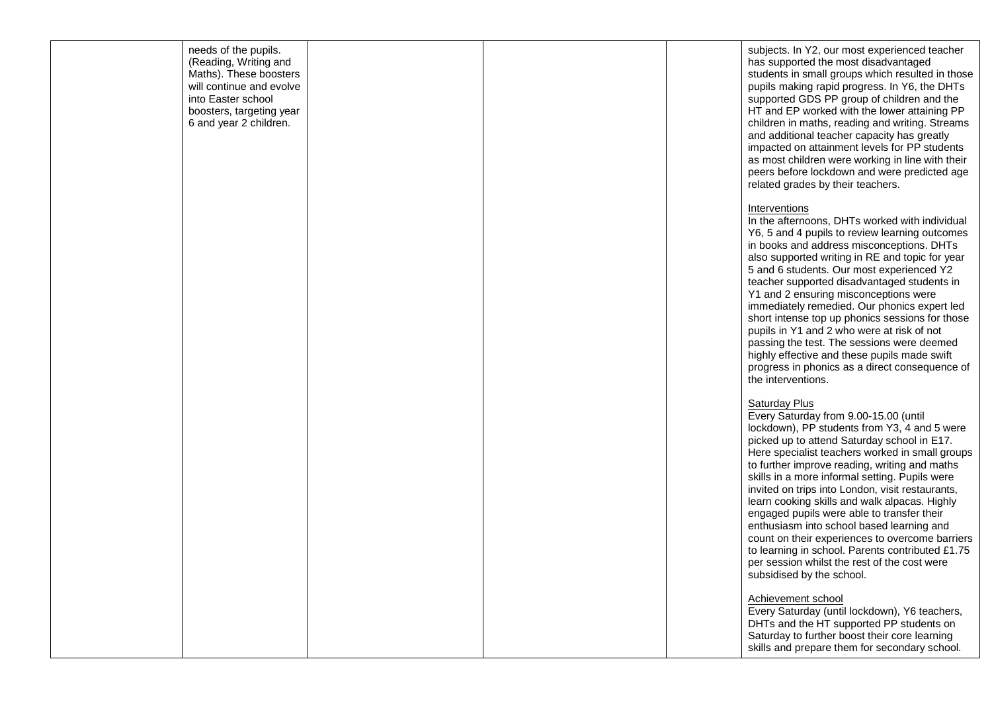| needs of the pupils.<br>(Reading, Writing and<br>Maths). These boosters<br>will continue and evolve<br>into Easter school<br>boosters, targeting year<br>6 and year 2 children. |  | subjects. In Y2, our most experienced teacher<br>has supported the most disadvantaged<br>students in small groups which resulted in those<br>pupils making rapid progress. In Y6, the DHTs<br>supported GDS PP group of children and the<br>HT and EP worked with the lower attaining PP<br>children in maths, reading and writing. Streams<br>and additional teacher capacity has greatly<br>impacted on attainment levels for PP students<br>as most children were working in line with their<br>peers before lockdown and were predicted age<br>related grades by their teachers.                                                                                                                   |
|---------------------------------------------------------------------------------------------------------------------------------------------------------------------------------|--|--------------------------------------------------------------------------------------------------------------------------------------------------------------------------------------------------------------------------------------------------------------------------------------------------------------------------------------------------------------------------------------------------------------------------------------------------------------------------------------------------------------------------------------------------------------------------------------------------------------------------------------------------------------------------------------------------------|
|                                                                                                                                                                                 |  | Interventions<br>In the afternoons, DHTs worked with individual<br>Y6, 5 and 4 pupils to review learning outcomes<br>in books and address misconceptions. DHTs<br>also supported writing in RE and topic for year<br>5 and 6 students. Our most experienced Y2<br>teacher supported disadvantaged students in<br>Y1 and 2 ensuring misconceptions were<br>immediately remedied. Our phonics expert led<br>short intense top up phonics sessions for those<br>pupils in Y1 and 2 who were at risk of not<br>passing the test. The sessions were deemed<br>highly effective and these pupils made swift<br>progress in phonics as a direct consequence of<br>the interventions.                          |
|                                                                                                                                                                                 |  | <b>Saturday Plus</b><br>Every Saturday from 9.00-15.00 (until<br>lockdown), PP students from Y3, 4 and 5 were<br>picked up to attend Saturday school in E17.<br>Here specialist teachers worked in small groups<br>to further improve reading, writing and maths<br>skills in a more informal setting. Pupils were<br>invited on trips into London, visit restaurants,<br>learn cooking skills and walk alpacas. Highly<br>engaged pupils were able to transfer their<br>enthusiasm into school based learning and<br>count on their experiences to overcome barriers<br>to learning in school. Parents contributed £1.75<br>per session whilst the rest of the cost were<br>subsidised by the school. |
|                                                                                                                                                                                 |  | Achievement school<br>Every Saturday (until lockdown), Y6 teachers,<br>DHTs and the HT supported PP students on<br>Saturday to further boost their core learning<br>skills and prepare them for secondary school.                                                                                                                                                                                                                                                                                                                                                                                                                                                                                      |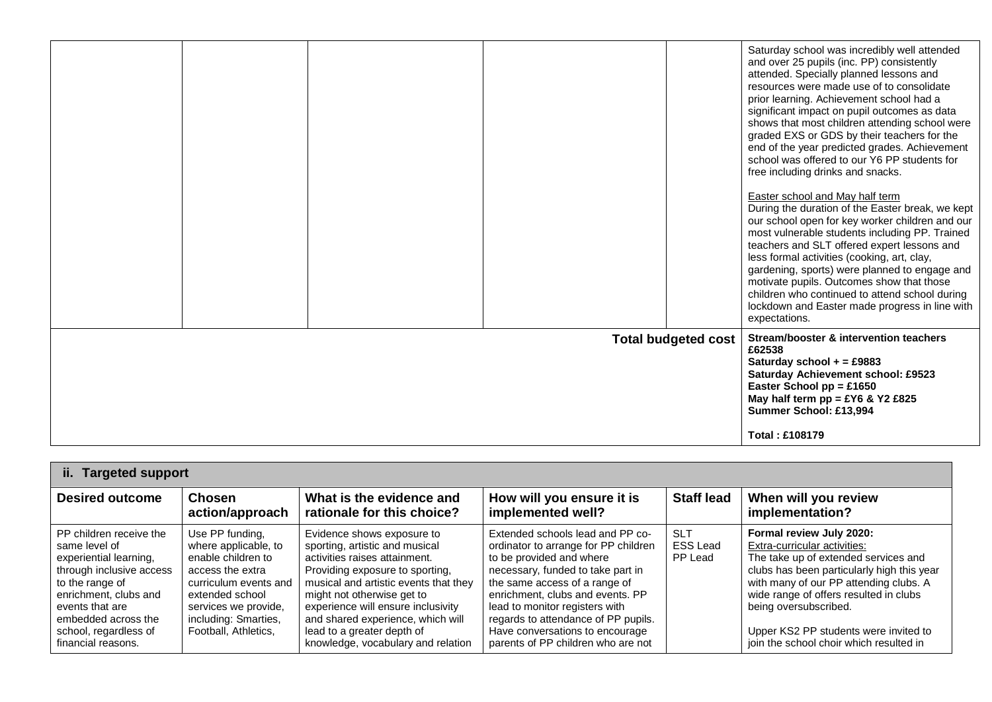|  |  |                            | Saturday school was incredibly well attended<br>and over 25 pupils (inc. PP) consistently<br>attended. Specially planned lessons and<br>resources were made use of to consolidate<br>prior learning. Achievement school had a<br>significant impact on pupil outcomes as data<br>shows that most children attending school were<br>graded EXS or GDS by their teachers for the<br>end of the year predicted grades. Achievement<br>school was offered to our Y6 PP students for<br>free including drinks and snacks.<br>Easter school and May half term<br>During the duration of the Easter break, we kept<br>our school open for key worker children and our<br>most vulnerable students including PP. Trained<br>teachers and SLT offered expert lessons and<br>less formal activities (cooking, art, clay,<br>gardening, sports) were planned to engage and<br>motivate pupils. Outcomes show that those<br>children who continued to attend school during<br>lockdown and Easter made progress in line with<br>expectations. |
|--|--|----------------------------|-----------------------------------------------------------------------------------------------------------------------------------------------------------------------------------------------------------------------------------------------------------------------------------------------------------------------------------------------------------------------------------------------------------------------------------------------------------------------------------------------------------------------------------------------------------------------------------------------------------------------------------------------------------------------------------------------------------------------------------------------------------------------------------------------------------------------------------------------------------------------------------------------------------------------------------------------------------------------------------------------------------------------------------|
|  |  | <b>Total budgeted cost</b> | Stream/booster & intervention teachers<br>£62538<br>Saturday school $+$ = £9883<br>Saturday Achievement school: £9523<br>Easter School $pp = £1650$<br>May half term $pp = EY6$ & Y2 £825<br>Summer School: £13,994<br><b>Total: £108179</b>                                                                                                                                                                                                                                                                                                                                                                                                                                                                                                                                                                                                                                                                                                                                                                                      |

| <b>Targeted support</b><br>Îİ.                                                                                                                                                                                                      |                                                                                                                                                                                                       |                                                                                                                                                                                                                                                                                                                                                        |                                                                                                                                                                                                                                                                                                                                                                  |                                          |                                                                                                                                                                                                                                                                                                                                                 |
|-------------------------------------------------------------------------------------------------------------------------------------------------------------------------------------------------------------------------------------|-------------------------------------------------------------------------------------------------------------------------------------------------------------------------------------------------------|--------------------------------------------------------------------------------------------------------------------------------------------------------------------------------------------------------------------------------------------------------------------------------------------------------------------------------------------------------|------------------------------------------------------------------------------------------------------------------------------------------------------------------------------------------------------------------------------------------------------------------------------------------------------------------------------------------------------------------|------------------------------------------|-------------------------------------------------------------------------------------------------------------------------------------------------------------------------------------------------------------------------------------------------------------------------------------------------------------------------------------------------|
| <b>Desired outcome</b>                                                                                                                                                                                                              | <b>Chosen</b><br>action/approach                                                                                                                                                                      | What is the evidence and<br>rationale for this choice?                                                                                                                                                                                                                                                                                                 | How will you ensure it is<br>implemented well?                                                                                                                                                                                                                                                                                                                   | <b>Staff lead</b>                        | When will you review<br>implementation?                                                                                                                                                                                                                                                                                                         |
| PP children receive the<br>same level of<br>experiential learning,<br>through inclusive access<br>to the range of<br>enrichment, clubs and<br>events that are<br>embedded across the<br>school, regardless of<br>financial reasons. | Use PP funding,<br>where applicable, to<br>enable children to<br>access the extra<br>curriculum events and<br>extended school<br>services we provide.<br>including: Smarties,<br>Football, Athletics, | Evidence shows exposure to<br>sporting, artistic and musical<br>activities raises attainment.<br>Providing exposure to sporting.<br>musical and artistic events that they<br>might not otherwise get to<br>experience will ensure inclusivity<br>and shared experience, which will<br>lead to a greater depth of<br>knowledge, vocabulary and relation | Extended schools lead and PP co-<br>ordinator to arrange for PP children<br>to be provided and where<br>necessary, funded to take part in<br>the same access of a range of<br>enrichment, clubs and events, PP<br>lead to monitor registers with<br>regards to attendance of PP pupils.<br>Have conversations to encourage<br>parents of PP children who are not | <b>SLT</b><br><b>ESS Lead</b><br>PP Lead | Formal review July 2020:<br>Extra-curricular activities:<br>The take up of extended services and<br>clubs has been particularly high this year<br>with many of our PP attending clubs. A<br>wide range of offers resulted in clubs<br>being oversubscribed.<br>Upper KS2 PP students were invited to<br>join the school choir which resulted in |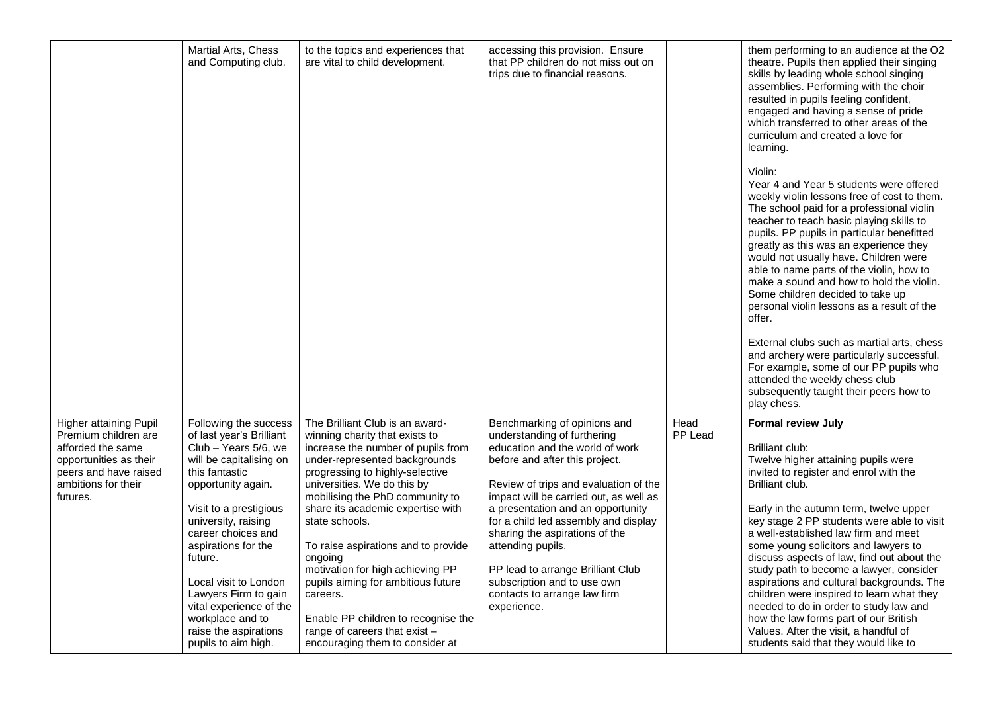|                                                                                                                                 | Martial Arts, Chess<br>and Computing club.                                                                                                                                                                                                                                                                                                                                   | to the topics and experiences that<br>are vital to child development.                                                                                                                                                                                                                                                                                                                                                                                                                                                | accessing this provision. Ensure<br>that PP children do not miss out on<br>trips due to financial reasons.                                                                                                                                                                                                                                                                                                                                 |         | them performing to an audience at the O2<br>theatre. Pupils then applied their singing<br>skills by leading whole school singing<br>assemblies. Performing with the choir<br>resulted in pupils feeling confident,<br>engaged and having a sense of pride<br>which transferred to other areas of the<br>curriculum and created a love for<br>learning.                                                                                                                                                                                                                                                                                                                                                                                          |
|---------------------------------------------------------------------------------------------------------------------------------|------------------------------------------------------------------------------------------------------------------------------------------------------------------------------------------------------------------------------------------------------------------------------------------------------------------------------------------------------------------------------|----------------------------------------------------------------------------------------------------------------------------------------------------------------------------------------------------------------------------------------------------------------------------------------------------------------------------------------------------------------------------------------------------------------------------------------------------------------------------------------------------------------------|--------------------------------------------------------------------------------------------------------------------------------------------------------------------------------------------------------------------------------------------------------------------------------------------------------------------------------------------------------------------------------------------------------------------------------------------|---------|-------------------------------------------------------------------------------------------------------------------------------------------------------------------------------------------------------------------------------------------------------------------------------------------------------------------------------------------------------------------------------------------------------------------------------------------------------------------------------------------------------------------------------------------------------------------------------------------------------------------------------------------------------------------------------------------------------------------------------------------------|
|                                                                                                                                 |                                                                                                                                                                                                                                                                                                                                                                              |                                                                                                                                                                                                                                                                                                                                                                                                                                                                                                                      |                                                                                                                                                                                                                                                                                                                                                                                                                                            |         | Violin:<br>Year 4 and Year 5 students were offered<br>weekly violin lessons free of cost to them.<br>The school paid for a professional violin<br>teacher to teach basic playing skills to<br>pupils. PP pupils in particular benefitted<br>greatly as this was an experience they<br>would not usually have. Children were<br>able to name parts of the violin, how to<br>make a sound and how to hold the violin.<br>Some children decided to take up<br>personal violin lessons as a result of the<br>offer.<br>External clubs such as martial arts, chess<br>and archery were particularly successful.<br>For example, some of our PP pupils who<br>attended the weekly chess club<br>subsequently taught their peers how to<br>play chess. |
| Higher attaining Pupil                                                                                                          | Following the success                                                                                                                                                                                                                                                                                                                                                        | The Brilliant Club is an award-                                                                                                                                                                                                                                                                                                                                                                                                                                                                                      | Benchmarking of opinions and                                                                                                                                                                                                                                                                                                                                                                                                               | Head    | Formal review July                                                                                                                                                                                                                                                                                                                                                                                                                                                                                                                                                                                                                                                                                                                              |
| Premium children are<br>afforded the same<br>opportunities as their<br>peers and have raised<br>ambitions for their<br>futures. | of last year's Brilliant<br>Club - Years 5/6, we<br>will be capitalising on<br>this fantastic<br>opportunity again.<br>Visit to a prestigious<br>university, raising<br>career choices and<br>aspirations for the<br>future.<br>Local visit to London<br>Lawyers Firm to gain<br>vital experience of the<br>workplace and to<br>raise the aspirations<br>pupils to aim high. | winning charity that exists to<br>increase the number of pupils from<br>under-represented backgrounds<br>progressing to highly-selective<br>universities. We do this by<br>mobilising the PhD community to<br>share its academic expertise with<br>state schools.<br>To raise aspirations and to provide<br>ongoing<br>motivation for high achieving PP<br>pupils aiming for ambitious future<br>careers.<br>Enable PP children to recognise the<br>range of careers that exist -<br>encouraging them to consider at | understanding of furthering<br>education and the world of work<br>before and after this project.<br>Review of trips and evaluation of the<br>impact will be carried out, as well as<br>a presentation and an opportunity<br>for a child led assembly and display<br>sharing the aspirations of the<br>attending pupils.<br>PP lead to arrange Brilliant Club<br>subscription and to use own<br>contacts to arrange law firm<br>experience. | PP Lead | Brilliant club:<br>Twelve higher attaining pupils were<br>invited to register and enrol with the<br>Brilliant club.<br>Early in the autumn term, twelve upper<br>key stage 2 PP students were able to visit<br>a well-established law firm and meet<br>some young solicitors and lawyers to<br>discuss aspects of law, find out about the<br>study path to become a lawyer, consider<br>aspirations and cultural backgrounds. The<br>children were inspired to learn what they<br>needed to do in order to study law and<br>how the law forms part of our British<br>Values. After the visit, a handful of<br>students said that they would like to                                                                                             |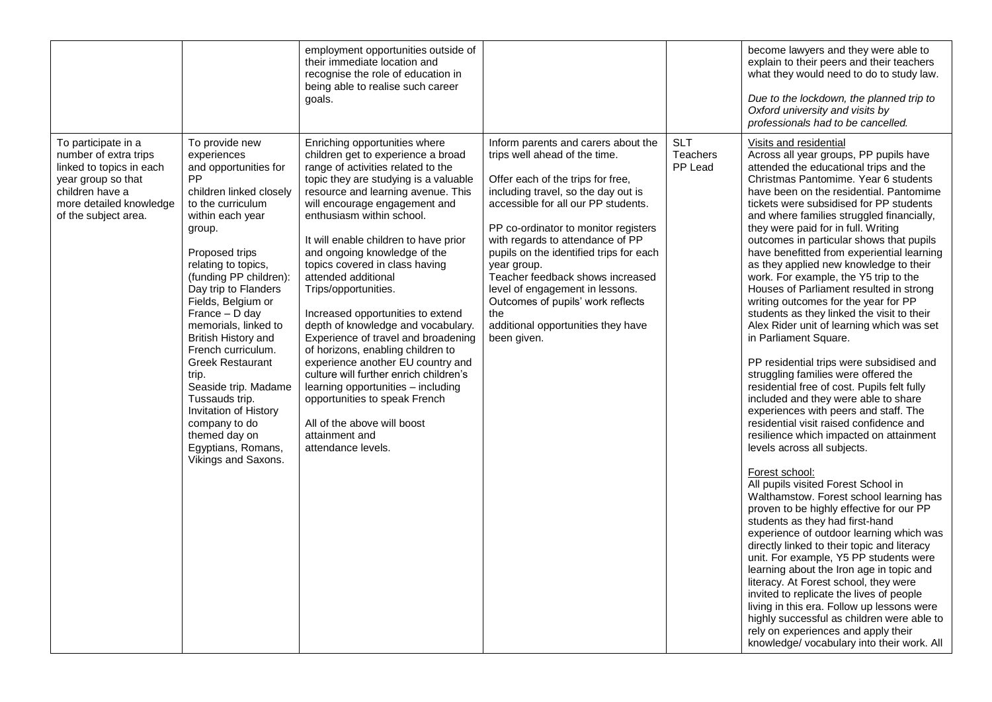|                                                                                                                                                                      |                                                                                                                                                                                                                                                                                                                                                                                                                                                                                                                                                        | employment opportunities outside of<br>their immediate location and<br>recognise the role of education in<br>being able to realise such career<br>goals.                                                                                                                                                                                                                                                                                                                                                                                                                                                                                                                                                                                                                                             |                                                                                                                                                                                                                                                                                                                                                                                                                                                                                                       |                                          | become lawyers and they were able to<br>explain to their peers and their teachers<br>what they would need to do to study law.<br>Due to the lockdown, the planned trip to<br>Oxford university and visits by<br>professionals had to be cancelled.                                                                                                                                                                                                                                                                                                                                                                                                                                                                                                                                                                                                                                                                                                                                                                                                                                                                                                                                                                                                                                                                                                                                                                                                                                                                                                                                                                                                                                                 |
|----------------------------------------------------------------------------------------------------------------------------------------------------------------------|--------------------------------------------------------------------------------------------------------------------------------------------------------------------------------------------------------------------------------------------------------------------------------------------------------------------------------------------------------------------------------------------------------------------------------------------------------------------------------------------------------------------------------------------------------|------------------------------------------------------------------------------------------------------------------------------------------------------------------------------------------------------------------------------------------------------------------------------------------------------------------------------------------------------------------------------------------------------------------------------------------------------------------------------------------------------------------------------------------------------------------------------------------------------------------------------------------------------------------------------------------------------------------------------------------------------------------------------------------------------|-------------------------------------------------------------------------------------------------------------------------------------------------------------------------------------------------------------------------------------------------------------------------------------------------------------------------------------------------------------------------------------------------------------------------------------------------------------------------------------------------------|------------------------------------------|----------------------------------------------------------------------------------------------------------------------------------------------------------------------------------------------------------------------------------------------------------------------------------------------------------------------------------------------------------------------------------------------------------------------------------------------------------------------------------------------------------------------------------------------------------------------------------------------------------------------------------------------------------------------------------------------------------------------------------------------------------------------------------------------------------------------------------------------------------------------------------------------------------------------------------------------------------------------------------------------------------------------------------------------------------------------------------------------------------------------------------------------------------------------------------------------------------------------------------------------------------------------------------------------------------------------------------------------------------------------------------------------------------------------------------------------------------------------------------------------------------------------------------------------------------------------------------------------------------------------------------------------------------------------------------------------------|
| To participate in a<br>number of extra trips<br>linked to topics in each<br>year group so that<br>children have a<br>more detailed knowledge<br>of the subject area. | To provide new<br>experiences<br>and opportunities for<br><b>PP</b><br>children linked closely<br>to the curriculum<br>within each year<br>group.<br>Proposed trips<br>relating to topics,<br>(funding PP children):<br>Day trip to Flanders<br>Fields, Belgium or<br>France - D day<br>memorials, linked to<br><b>British History and</b><br>French curriculum.<br><b>Greek Restaurant</b><br>trip.<br>Seaside trip. Madame<br>Tussauds trip.<br>Invitation of History<br>company to do<br>themed day on<br>Egyptians, Romans,<br>Vikings and Saxons. | Enriching opportunities where<br>children get to experience a broad<br>range of activities related to the<br>topic they are studying is a valuable<br>resource and learning avenue. This<br>will encourage engagement and<br>enthusiasm within school.<br>It will enable children to have prior<br>and ongoing knowledge of the<br>topics covered in class having<br>attended additional<br>Trips/opportunities.<br>Increased opportunities to extend<br>depth of knowledge and vocabulary.<br>Experience of travel and broadening<br>of horizons, enabling children to<br>experience another EU country and<br>culture will further enrich children's<br>learning opportunities - including<br>opportunities to speak French<br>All of the above will boost<br>attainment and<br>attendance levels. | Inform parents and carers about the<br>trips well ahead of the time.<br>Offer each of the trips for free,<br>including travel, so the day out is<br>accessible for all our PP students.<br>PP co-ordinator to monitor registers<br>with regards to attendance of PP<br>pupils on the identified trips for each<br>year group.<br>Teacher feedback shows increased<br>level of engagement in lessons.<br>Outcomes of pupils' work reflects<br>the<br>additional opportunities they have<br>been given. | <b>SLT</b><br><b>Teachers</b><br>PP Lead | Visits and residential<br>Across all year groups, PP pupils have<br>attended the educational trips and the<br>Christmas Pantomime. Year 6 students<br>have been on the residential. Pantomime<br>tickets were subsidised for PP students<br>and where families struggled financially,<br>they were paid for in full. Writing<br>outcomes in particular shows that pupils<br>have benefitted from experiential learning<br>as they applied new knowledge to their<br>work. For example, the Y5 trip to the<br>Houses of Parliament resulted in strong<br>writing outcomes for the year for PP<br>students as they linked the visit to their<br>Alex Rider unit of learning which was set<br>in Parliament Square.<br>PP residential trips were subsidised and<br>struggling families were offered the<br>residential free of cost. Pupils felt fully<br>included and they were able to share<br>experiences with peers and staff. The<br>residential visit raised confidence and<br>resilience which impacted on attainment<br>levels across all subjects.<br>Forest school:<br>All pupils visited Forest School in<br>Walthamstow. Forest school learning has<br>proven to be highly effective for our PP<br>students as they had first-hand<br>experience of outdoor learning which was<br>directly linked to their topic and literacy<br>unit. For example, Y5 PP students were<br>learning about the Iron age in topic and<br>literacy. At Forest school, they were<br>invited to replicate the lives of people<br>living in this era. Follow up lessons were<br>highly successful as children were able to<br>rely on experiences and apply their<br>knowledge/vocabulary into their work. All |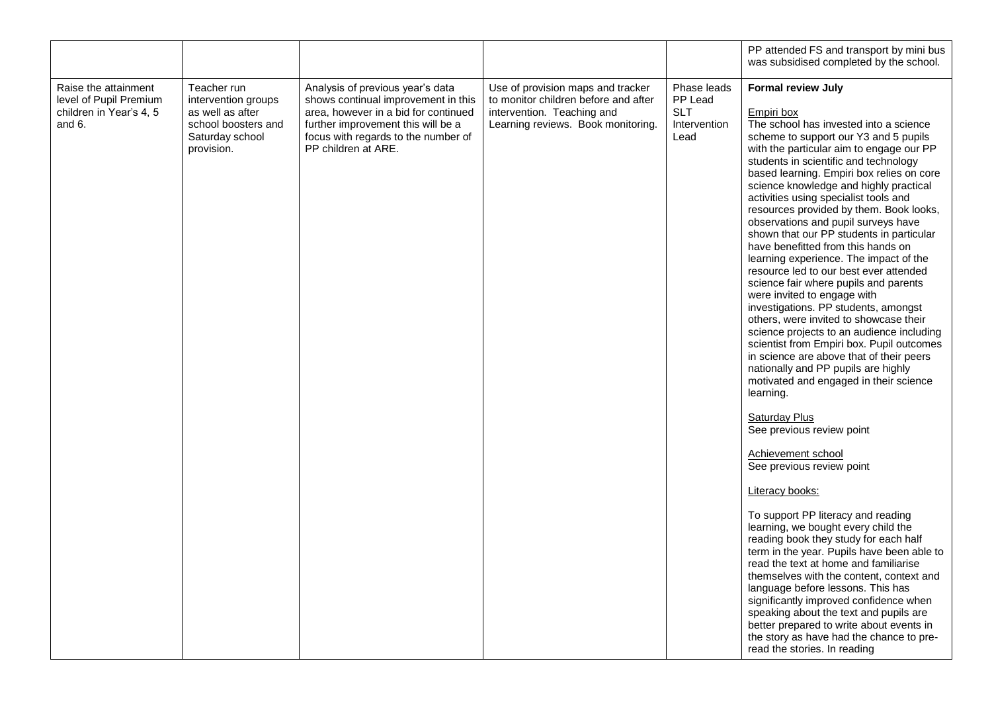|                                                                                       |                                                                                                                |                                                                                                                                                                                                                     |                                                                                                                                               |                                                              | PP attended FS and transport by mini bus<br>was subsidised completed by the school.                                                                                                                                                                                                                                                                                                                                                                                                                                                                                                                                                                                                                                                                                                                                                                                                                                                                                                                                                                                                                                                                                                                                                                                                                                                                                                                                                                                                                                                                                                                        |
|---------------------------------------------------------------------------------------|----------------------------------------------------------------------------------------------------------------|---------------------------------------------------------------------------------------------------------------------------------------------------------------------------------------------------------------------|-----------------------------------------------------------------------------------------------------------------------------------------------|--------------------------------------------------------------|------------------------------------------------------------------------------------------------------------------------------------------------------------------------------------------------------------------------------------------------------------------------------------------------------------------------------------------------------------------------------------------------------------------------------------------------------------------------------------------------------------------------------------------------------------------------------------------------------------------------------------------------------------------------------------------------------------------------------------------------------------------------------------------------------------------------------------------------------------------------------------------------------------------------------------------------------------------------------------------------------------------------------------------------------------------------------------------------------------------------------------------------------------------------------------------------------------------------------------------------------------------------------------------------------------------------------------------------------------------------------------------------------------------------------------------------------------------------------------------------------------------------------------------------------------------------------------------------------------|
| Raise the attainment<br>level of Pupil Premium<br>children in Year's 4, 5<br>and $6.$ | Teacher run<br>intervention groups<br>as well as after<br>school boosters and<br>Saturday school<br>provision. | Analysis of previous year's data<br>shows continual improvement in this<br>area, however in a bid for continued<br>further improvement this will be a<br>focus with regards to the number of<br>PP children at ARE. | Use of provision maps and tracker<br>to monitor children before and after<br>intervention. Teaching and<br>Learning reviews. Book monitoring. | Phase leads<br>PP Lead<br><b>SLT</b><br>Intervention<br>Lead | <b>Formal review July</b><br>Empiri box<br>The school has invested into a science<br>scheme to support our Y3 and 5 pupils<br>with the particular aim to engage our PP<br>students in scientific and technology<br>based learning. Empiri box relies on core<br>science knowledge and highly practical<br>activities using specialist tools and<br>resources provided by them. Book looks,<br>observations and pupil surveys have<br>shown that our PP students in particular<br>have benefitted from this hands on<br>learning experience. The impact of the<br>resource led to our best ever attended<br>science fair where pupils and parents<br>were invited to engage with<br>investigations. PP students, amongst<br>others, were invited to showcase their<br>science projects to an audience including<br>scientist from Empiri box. Pupil outcomes<br>in science are above that of their peers<br>nationally and PP pupils are highly<br>motivated and engaged in their science<br>learning.<br><b>Saturday Plus</b><br>See previous review point<br>Achievement school<br>See previous review point<br>Literacy books:<br>To support PP literacy and reading<br>learning, we bought every child the<br>reading book they study for each half<br>term in the year. Pupils have been able to<br>read the text at home and familiarise<br>themselves with the content, context and<br>language before lessons. This has<br>significantly improved confidence when<br>speaking about the text and pupils are<br>better prepared to write about events in<br>the story as have had the chance to pre- |
|                                                                                       |                                                                                                                |                                                                                                                                                                                                                     |                                                                                                                                               |                                                              | read the stories. In reading                                                                                                                                                                                                                                                                                                                                                                                                                                                                                                                                                                                                                                                                                                                                                                                                                                                                                                                                                                                                                                                                                                                                                                                                                                                                                                                                                                                                                                                                                                                                                                               |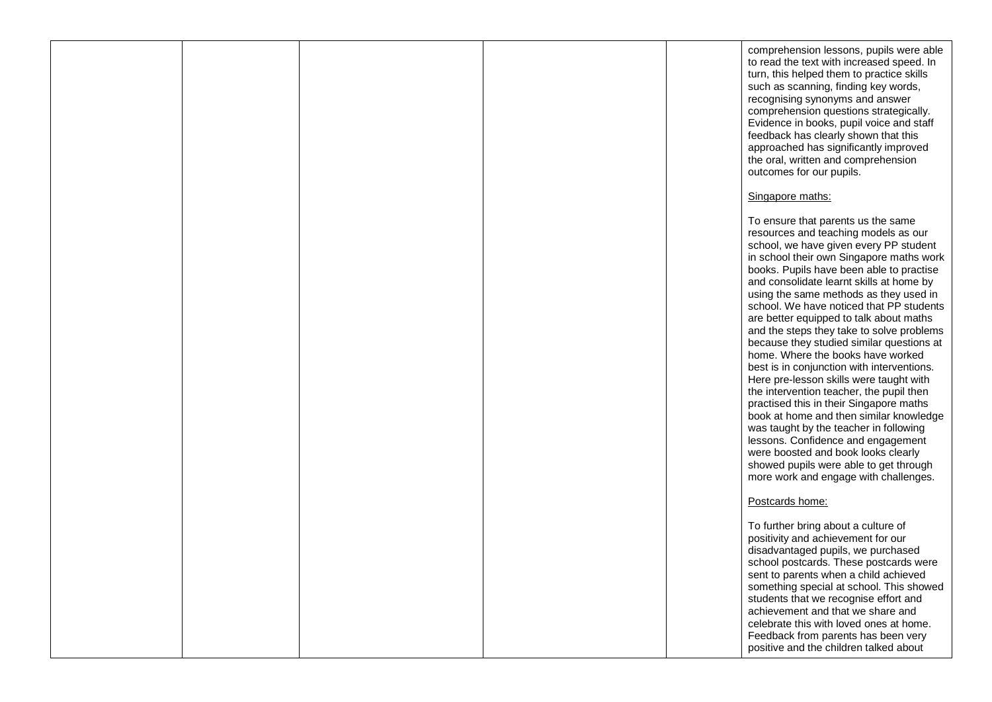comprehension lessons, pupils were able to read the text with increased speed. In turn, this helped them to practice skills such as scanning, finding key words, recognising synonyms and answer comprehension questions strategically. Evidence in books, pupil voice and staff feedback has clearly shown that this approached has significantly improved the oral, written and comprehension outcomes for our pupils.

#### Singapore maths:

To ensure that parents us the same resources and teaching models as our school, we have given every PP student in school their own Singapore maths work books. Pupils have been able to practise and consolidate learnt skills at home by using the same methods as they used in school. We have noticed that PP students are better equipped to talk about maths and the steps they take to solve problems because they studied similar questions at home. Where the books have worked best is in conjunction with interventions. Here pre-lesson skills were taught with the intervention teacher, the pupil then practised this in their Singapore maths book at home and then similar knowledge was taught by the teacher in following lessons. Confidence and engagement were boosted and book looks clearly showed pupils were able to get through more work and engage with challenges.

#### Postcards home:

To further bring about a culture of positivity and achievement for our disadvantaged pupils, we purchased school postcards. These postcards were sent to parents when a child achieved something special at school. This showed students that we recognise effort and achievement and that we share and celebrate this with loved ones at home. Feedback from parents has been very positive and the children talked about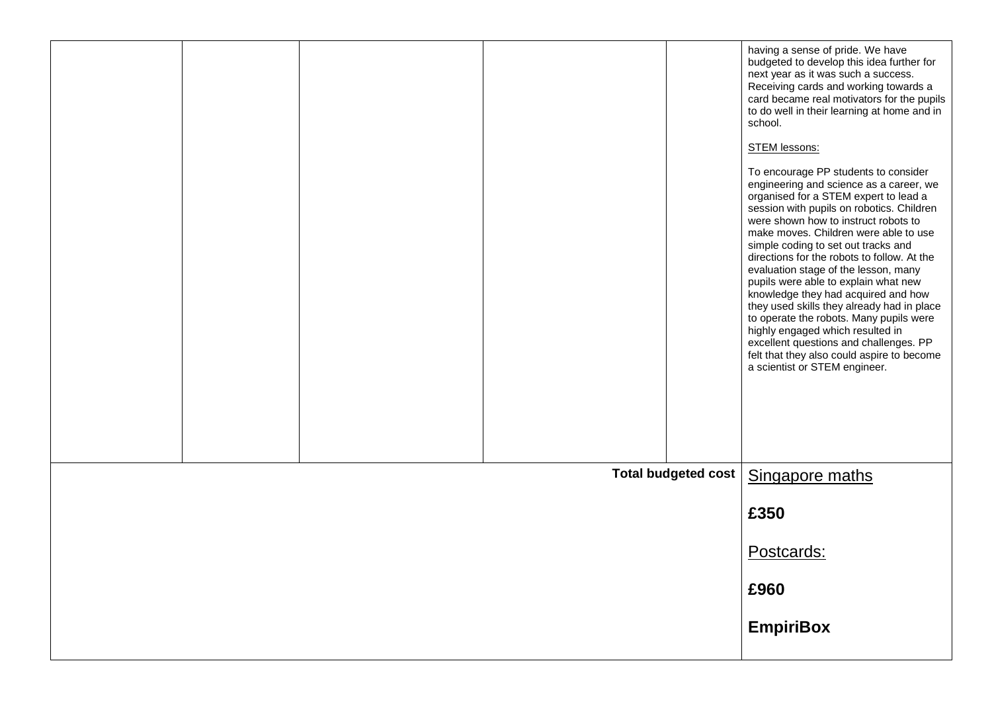|  |  |                            | having a sense of pride. We have<br>budgeted to develop this idea further for<br>next year as it was such a success.<br>Receiving cards and working towards a<br>card became real motivators for the pupils<br>to do well in their learning at home and in<br>school.<br>STEM lessons:<br>To encourage PP students to consider<br>engineering and science as a career, we<br>organised for a STEM expert to lead a<br>session with pupils on robotics. Children<br>were shown how to instruct robots to<br>make moves. Children were able to use<br>simple coding to set out tracks and<br>directions for the robots to follow. At the<br>evaluation stage of the lesson, many<br>pupils were able to explain what new<br>knowledge they had acquired and how<br>they used skills they already had in place<br>to operate the robots. Many pupils were<br>highly engaged which resulted in<br>excellent questions and challenges. PP<br>felt that they also could aspire to become<br>a scientist or STEM engineer. |
|--|--|----------------------------|---------------------------------------------------------------------------------------------------------------------------------------------------------------------------------------------------------------------------------------------------------------------------------------------------------------------------------------------------------------------------------------------------------------------------------------------------------------------------------------------------------------------------------------------------------------------------------------------------------------------------------------------------------------------------------------------------------------------------------------------------------------------------------------------------------------------------------------------------------------------------------------------------------------------------------------------------------------------------------------------------------------------|
|  |  | <b>Total budgeted cost</b> | Singapore maths                                                                                                                                                                                                                                                                                                                                                                                                                                                                                                                                                                                                                                                                                                                                                                                                                                                                                                                                                                                                     |
|  |  |                            | £350<br>Postcards:<br>£960                                                                                                                                                                                                                                                                                                                                                                                                                                                                                                                                                                                                                                                                                                                                                                                                                                                                                                                                                                                          |
|  |  |                            | <b>EmpiriBox</b>                                                                                                                                                                                                                                                                                                                                                                                                                                                                                                                                                                                                                                                                                                                                                                                                                                                                                                                                                                                                    |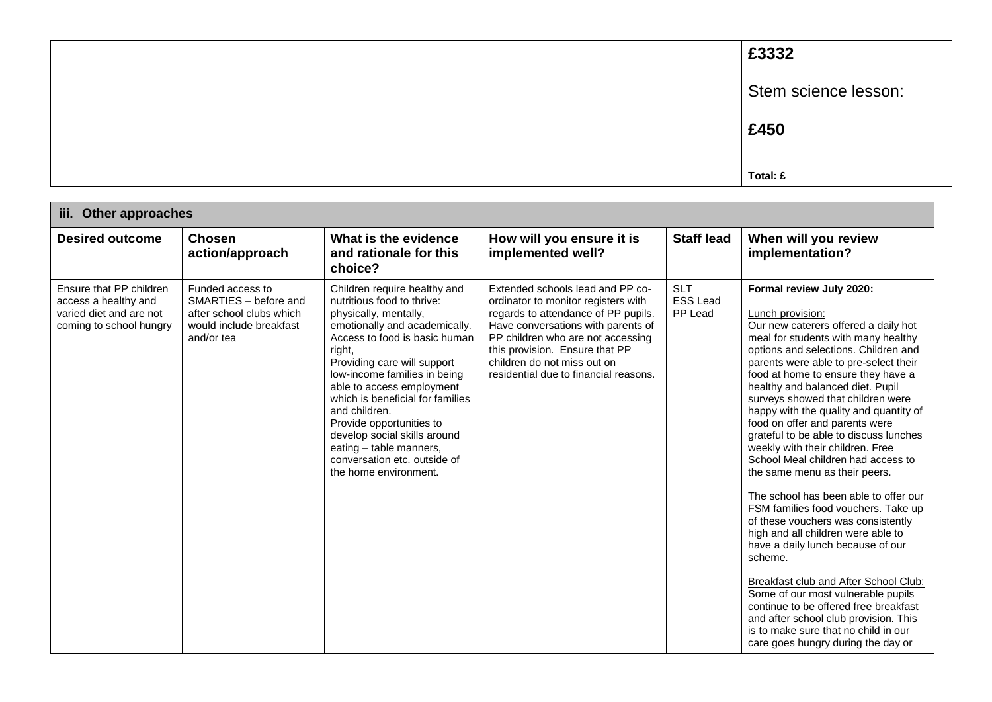| £3332                |
|----------------------|
| Stem science lesson: |
| £450                 |
| Total: £             |

| iii. Other approaches                                                                                 |                                                                                                                |                                                                                                                                                                                                                                                                                                                                                                                                                                                                  |                                                                                                                                                                                                                                                                                                     |                                          |                                                                                                                                                                                                                                                                                                                                                                                                                                                                                                                                                                                                                                                                                                                                                                                                                                                                                                                                                                                                                         |  |
|-------------------------------------------------------------------------------------------------------|----------------------------------------------------------------------------------------------------------------|------------------------------------------------------------------------------------------------------------------------------------------------------------------------------------------------------------------------------------------------------------------------------------------------------------------------------------------------------------------------------------------------------------------------------------------------------------------|-----------------------------------------------------------------------------------------------------------------------------------------------------------------------------------------------------------------------------------------------------------------------------------------------------|------------------------------------------|-------------------------------------------------------------------------------------------------------------------------------------------------------------------------------------------------------------------------------------------------------------------------------------------------------------------------------------------------------------------------------------------------------------------------------------------------------------------------------------------------------------------------------------------------------------------------------------------------------------------------------------------------------------------------------------------------------------------------------------------------------------------------------------------------------------------------------------------------------------------------------------------------------------------------------------------------------------------------------------------------------------------------|--|
| <b>Desired outcome</b>                                                                                | <b>Chosen</b><br>action/approach                                                                               | What is the evidence<br>and rationale for this<br>choice?                                                                                                                                                                                                                                                                                                                                                                                                        | How will you ensure it is<br>implemented well?                                                                                                                                                                                                                                                      | <b>Staff lead</b>                        | When will you review<br>implementation?                                                                                                                                                                                                                                                                                                                                                                                                                                                                                                                                                                                                                                                                                                                                                                                                                                                                                                                                                                                 |  |
| Ensure that PP children<br>access a healthy and<br>varied diet and are not<br>coming to school hungry | Funded access to<br>SMARTIES - before and<br>after school clubs which<br>would include breakfast<br>and/or tea | Children require healthy and<br>nutritious food to thrive:<br>physically, mentally,<br>emotionally and academically.<br>Access to food is basic human<br>right,<br>Providing care will support<br>low-income families in being<br>able to access employment<br>which is beneficial for families<br>and children.<br>Provide opportunities to<br>develop social skills around<br>eating - table manners,<br>conversation etc. outside of<br>the home environment. | Extended schools lead and PP co-<br>ordinator to monitor registers with<br>regards to attendance of PP pupils.<br>Have conversations with parents of<br>PP children who are not accessing<br>this provision. Ensure that PP<br>children do not miss out on<br>residential due to financial reasons. | <b>SLT</b><br><b>ESS Lead</b><br>PP Lead | Formal review July 2020:<br>Lunch provision:<br>Our new caterers offered a daily hot<br>meal for students with many healthy<br>options and selections. Children and<br>parents were able to pre-select their<br>food at home to ensure they have a<br>healthy and balanced diet. Pupil<br>surveys showed that children were<br>happy with the quality and quantity of<br>food on offer and parents were<br>grateful to be able to discuss lunches<br>weekly with their children. Free<br>School Meal children had access to<br>the same menu as their peers.<br>The school has been able to offer our<br>FSM families food vouchers. Take up<br>of these vouchers was consistently<br>high and all children were able to<br>have a daily lunch because of our<br>scheme.<br>Breakfast club and After School Club:<br>Some of our most vulnerable pupils<br>continue to be offered free breakfast<br>and after school club provision. This<br>is to make sure that no child in our<br>care goes hungry during the day or |  |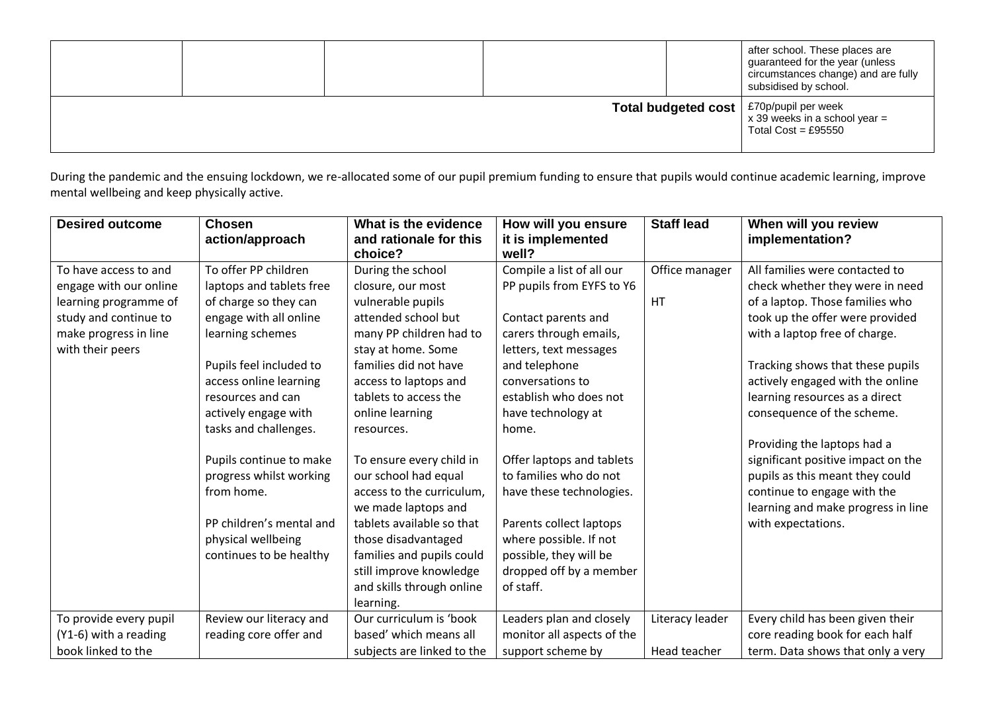|  |  |                            | after school. These places are<br>guaranteed for the year (unless<br>circumstances change) and are fully<br>subsidised by school. |
|--|--|----------------------------|-----------------------------------------------------------------------------------------------------------------------------------|
|  |  | <b>Total budgeted cost</b> | £70p/pupil per week<br>$x$ 39 weeks in a school year =<br>Total Cost = £95550                                                     |

During the pandemic and the ensuing lockdown, we re-allocated some of our pupil premium funding to ensure that pupils would continue academic learning, improve mental wellbeing and keep physically active.

| <b>Desired outcome</b> | <b>Chosen</b><br>action/approach | What is the evidence<br>and rationale for this | How will you ensure<br>it is implemented | <b>Staff lead</b> | When will you review<br>implementation? |
|------------------------|----------------------------------|------------------------------------------------|------------------------------------------|-------------------|-----------------------------------------|
|                        |                                  | choice?                                        | well?                                    |                   |                                         |
| To have access to and  | To offer PP children             | During the school                              | Compile a list of all our                | Office manager    | All families were contacted to          |
| engage with our online | laptops and tablets free         | closure, our most                              | PP pupils from EYFS to Y6                |                   | check whether they were in need         |
| learning programme of  | of charge so they can            | vulnerable pupils                              |                                          | HT                | of a laptop. Those families who         |
| study and continue to  | engage with all online           | attended school but                            | Contact parents and                      |                   | took up the offer were provided         |
| make progress in line  | learning schemes                 | many PP children had to                        | carers through emails,                   |                   | with a laptop free of charge.           |
| with their peers       |                                  | stay at home. Some                             | letters, text messages                   |                   |                                         |
|                        | Pupils feel included to          | families did not have                          | and telephone                            |                   | Tracking shows that these pupils        |
|                        | access online learning           | access to laptops and                          | conversations to                         |                   | actively engaged with the online        |
|                        | resources and can                | tablets to access the                          | establish who does not                   |                   | learning resources as a direct          |
|                        | actively engage with             | online learning                                | have technology at                       |                   | consequence of the scheme.              |
|                        | tasks and challenges.            | resources.                                     | home.                                    |                   |                                         |
|                        |                                  |                                                |                                          |                   | Providing the laptops had a             |
|                        | Pupils continue to make          | To ensure every child in                       | Offer laptops and tablets                |                   | significant positive impact on the      |
|                        | progress whilst working          | our school had equal                           | to families who do not                   |                   | pupils as this meant they could         |
|                        | from home.                       | access to the curriculum,                      | have these technologies.                 |                   | continue to engage with the             |
|                        |                                  | we made laptops and                            |                                          |                   | learning and make progress in line      |
|                        | PP children's mental and         | tablets available so that                      | Parents collect laptops                  |                   | with expectations.                      |
|                        | physical wellbeing               | those disadvantaged                            | where possible. If not                   |                   |                                         |
|                        | continues to be healthy          | families and pupils could                      | possible, they will be                   |                   |                                         |
|                        |                                  | still improve knowledge                        | dropped off by a member                  |                   |                                         |
|                        |                                  | and skills through online                      | of staff.                                |                   |                                         |
|                        |                                  | learning.                                      |                                          |                   |                                         |
| To provide every pupil | Review our literacy and          | Our curriculum is 'book                        | Leaders plan and closely                 | Literacy leader   | Every child has been given their        |
| (Y1-6) with a reading  | reading core offer and           | based' which means all                         | monitor all aspects of the               |                   | core reading book for each half         |
| book linked to the     |                                  | subjects are linked to the                     | support scheme by                        | Head teacher      | term. Data shows that only a very       |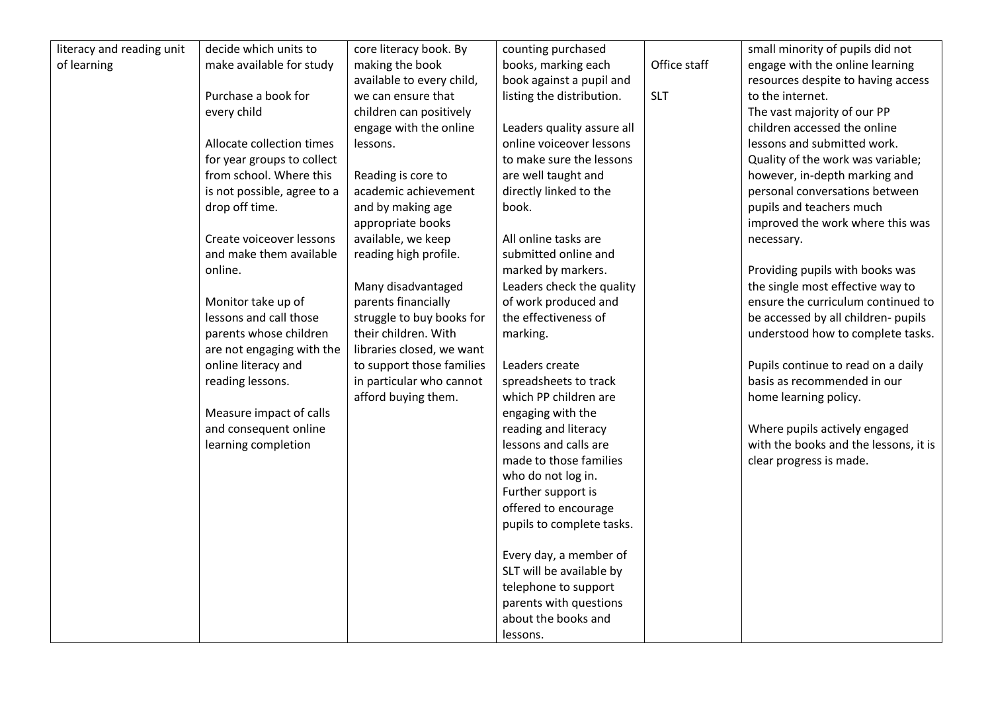| literacy and reading unit | decide which units to                        | core literacy book. By                            | counting purchased         |              | small minority of pupils did not                                  |
|---------------------------|----------------------------------------------|---------------------------------------------------|----------------------------|--------------|-------------------------------------------------------------------|
| of learning               | make available for study                     | making the book                                   | books, marking each        | Office staff | engage with the online learning                                   |
|                           |                                              | available to every child,                         | book against a pupil and   |              | resources despite to having access                                |
|                           | Purchase a book for                          | we can ensure that                                | listing the distribution.  | <b>SLT</b>   | to the internet.                                                  |
|                           | every child                                  | children can positively                           |                            |              | The vast majority of our PP                                       |
|                           |                                              | engage with the online                            | Leaders quality assure all |              | children accessed the online                                      |
|                           | Allocate collection times                    | lessons.                                          | online voiceover lessons   |              | lessons and submitted work.                                       |
|                           | for year groups to collect                   |                                                   | to make sure the lessons   |              | Quality of the work was variable;                                 |
|                           | from school. Where this                      | Reading is core to                                | are well taught and        |              | however, in-depth marking and                                     |
|                           | is not possible, agree to a                  | academic achievement                              | directly linked to the     |              | personal conversations between                                    |
|                           | drop off time.                               | and by making age                                 | book.                      |              | pupils and teachers much                                          |
|                           |                                              | appropriate books                                 |                            |              | improved the work where this was                                  |
|                           | Create voiceover lessons                     | available, we keep                                | All online tasks are       |              | necessary.                                                        |
|                           | and make them available                      | reading high profile.                             | submitted online and       |              |                                                                   |
|                           | online.                                      |                                                   | marked by markers.         |              | Providing pupils with books was                                   |
|                           |                                              | Many disadvantaged                                | Leaders check the quality  |              | the single most effective way to                                  |
|                           |                                              | parents financially                               | of work produced and       |              | ensure the curriculum continued to                                |
|                           | Monitor take up of<br>lessons and call those |                                                   | the effectiveness of       |              |                                                                   |
|                           |                                              | struggle to buy books for<br>their children. With |                            |              | be accessed by all children- pupils                               |
|                           | parents whose children                       |                                                   | marking.                   |              | understood how to complete tasks.                                 |
|                           | are not engaging with the                    | libraries closed, we want                         |                            |              |                                                                   |
|                           | online literacy and                          | to support those families                         | Leaders create             |              | Pupils continue to read on a daily<br>basis as recommended in our |
|                           | reading lessons.                             | in particular who cannot                          | spreadsheets to track      |              |                                                                   |
|                           |                                              | afford buying them.                               | which PP children are      |              | home learning policy.                                             |
|                           | Measure impact of calls                      |                                                   | engaging with the          |              |                                                                   |
|                           | and consequent online                        |                                                   | reading and literacy       |              | Where pupils actively engaged                                     |
|                           | learning completion                          |                                                   | lessons and calls are      |              | with the books and the lessons, it is                             |
|                           |                                              |                                                   | made to those families     |              | clear progress is made.                                           |
|                           |                                              |                                                   | who do not log in.         |              |                                                                   |
|                           |                                              |                                                   | Further support is         |              |                                                                   |
|                           |                                              |                                                   | offered to encourage       |              |                                                                   |
|                           |                                              |                                                   | pupils to complete tasks.  |              |                                                                   |
|                           |                                              |                                                   |                            |              |                                                                   |
|                           |                                              |                                                   | Every day, a member of     |              |                                                                   |
|                           |                                              |                                                   | SLT will be available by   |              |                                                                   |
|                           |                                              |                                                   | telephone to support       |              |                                                                   |
|                           |                                              |                                                   | parents with questions     |              |                                                                   |
|                           |                                              |                                                   | about the books and        |              |                                                                   |
|                           |                                              |                                                   | lessons.                   |              |                                                                   |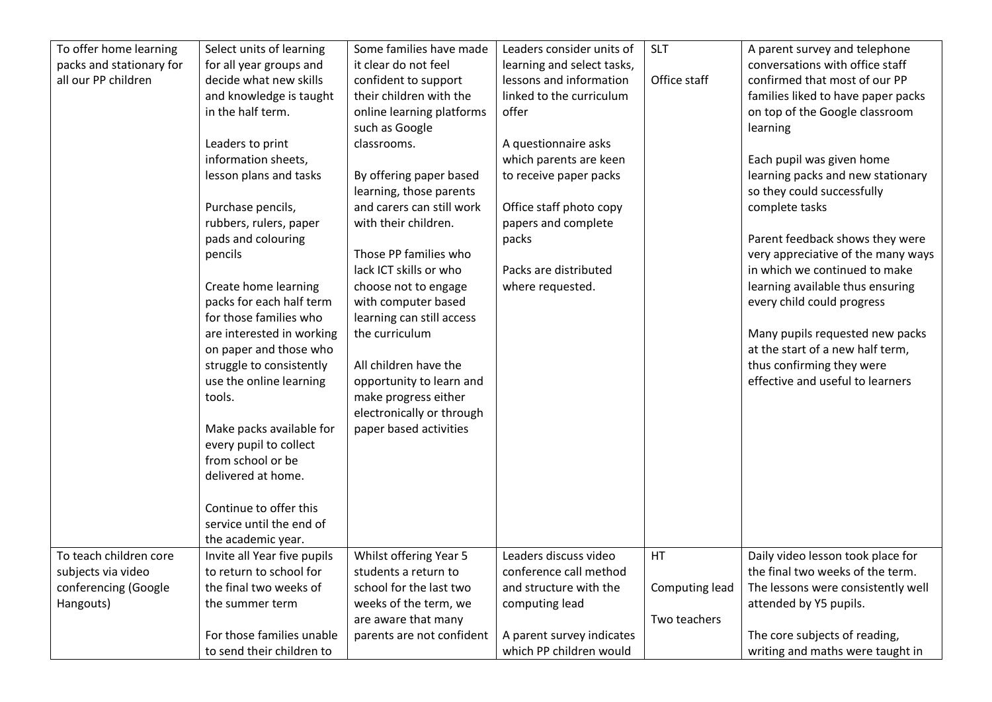| To offer home learning   | Select units of learning    | Some families have made   | Leaders consider units of  | <b>SLT</b>     | A parent survey and telephone      |
|--------------------------|-----------------------------|---------------------------|----------------------------|----------------|------------------------------------|
| packs and stationary for | for all year groups and     | it clear do not feel      | learning and select tasks, |                | conversations with office staff    |
| all our PP children      | decide what new skills      | confident to support      | lessons and information    | Office staff   | confirmed that most of our PP      |
|                          | and knowledge is taught     | their children with the   | linked to the curriculum   |                | families liked to have paper packs |
|                          | in the half term.           | online learning platforms | offer                      |                | on top of the Google classroom     |
|                          |                             | such as Google            |                            |                | learning                           |
|                          | Leaders to print            | classrooms.               | A questionnaire asks       |                |                                    |
|                          | information sheets,         |                           | which parents are keen     |                | Each pupil was given home          |
|                          | lesson plans and tasks      | By offering paper based   | to receive paper packs     |                | learning packs and new stationary  |
|                          |                             | learning, those parents   |                            |                | so they could successfully         |
|                          | Purchase pencils,           | and carers can still work | Office staff photo copy    |                | complete tasks                     |
|                          | rubbers, rulers, paper      | with their children.      | papers and complete        |                |                                    |
|                          | pads and colouring          |                           | packs                      |                | Parent feedback shows they were    |
|                          | pencils                     | Those PP families who     |                            |                | very appreciative of the many ways |
|                          |                             | lack ICT skills or who    | Packs are distributed      |                | in which we continued to make      |
|                          | Create home learning        | choose not to engage      | where requested.           |                | learning available thus ensuring   |
|                          | packs for each half term    | with computer based       |                            |                | every child could progress         |
|                          | for those families who      | learning can still access |                            |                |                                    |
|                          | are interested in working   | the curriculum            |                            |                | Many pupils requested new packs    |
|                          | on paper and those who      |                           |                            |                | at the start of a new half term,   |
|                          | struggle to consistently    | All children have the     |                            |                | thus confirming they were          |
|                          | use the online learning     | opportunity to learn and  |                            |                | effective and useful to learners   |
|                          | tools.                      | make progress either      |                            |                |                                    |
|                          |                             | electronically or through |                            |                |                                    |
|                          | Make packs available for    | paper based activities    |                            |                |                                    |
|                          | every pupil to collect      |                           |                            |                |                                    |
|                          | from school or be           |                           |                            |                |                                    |
|                          | delivered at home.          |                           |                            |                |                                    |
|                          |                             |                           |                            |                |                                    |
|                          | Continue to offer this      |                           |                            |                |                                    |
|                          | service until the end of    |                           |                            |                |                                    |
|                          | the academic year.          |                           |                            |                |                                    |
| To teach children core   | Invite all Year five pupils | Whilst offering Year 5    | Leaders discuss video      | HT             | Daily video lesson took place for  |
| subjects via video       | to return to school for     | students a return to      | conference call method     |                | the final two weeks of the term.   |
| conferencing (Google     | the final two weeks of      | school for the last two   | and structure with the     | Computing lead | The lessons were consistently well |
| Hangouts)                | the summer term             | weeks of the term, we     | computing lead             |                | attended by Y5 pupils.             |
|                          |                             | are aware that many       |                            | Two teachers   |                                    |
|                          | For those families unable   | parents are not confident | A parent survey indicates  |                | The core subjects of reading,      |
|                          | to send their children to   |                           | which PP children would    |                | writing and maths were taught in   |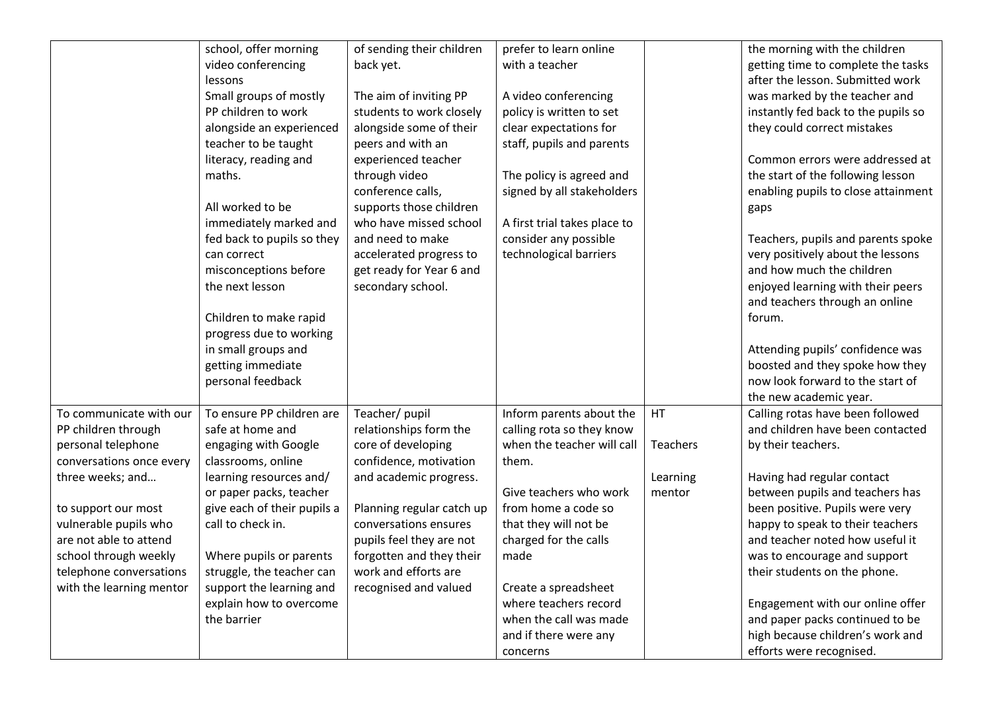|                          | school, offer morning       | of sending their children | prefer to learn online       |          | the morning with the children       |
|--------------------------|-----------------------------|---------------------------|------------------------------|----------|-------------------------------------|
|                          | video conferencing          | back yet.                 | with a teacher               |          | getting time to complete the tasks  |
|                          | lessons                     |                           |                              |          | after the lesson. Submitted work    |
|                          | Small groups of mostly      | The aim of inviting PP    | A video conferencing         |          | was marked by the teacher and       |
|                          | PP children to work         | students to work closely  | policy is written to set     |          | instantly fed back to the pupils so |
|                          | alongside an experienced    | alongside some of their   | clear expectations for       |          | they could correct mistakes         |
|                          | teacher to be taught        | peers and with an         | staff, pupils and parents    |          |                                     |
|                          | literacy, reading and       | experienced teacher       |                              |          | Common errors were addressed at     |
|                          | maths.                      | through video             | The policy is agreed and     |          | the start of the following lesson   |
|                          |                             | conference calls,         | signed by all stakeholders   |          | enabling pupils to close attainment |
|                          | All worked to be            | supports those children   |                              |          | gaps                                |
|                          | immediately marked and      | who have missed school    | A first trial takes place to |          |                                     |
|                          | fed back to pupils so they  | and need to make          | consider any possible        |          | Teachers, pupils and parents spoke  |
|                          | can correct                 | accelerated progress to   | technological barriers       |          | very positively about the lessons   |
|                          | misconceptions before       | get ready for Year 6 and  |                              |          | and how much the children           |
|                          | the next lesson             | secondary school.         |                              |          | enjoyed learning with their peers   |
|                          |                             |                           |                              |          | and teachers through an online      |
|                          | Children to make rapid      |                           |                              |          | forum.                              |
|                          | progress due to working     |                           |                              |          |                                     |
|                          | in small groups and         |                           |                              |          | Attending pupils' confidence was    |
|                          | getting immediate           |                           |                              |          | boosted and they spoke how they     |
|                          | personal feedback           |                           |                              |          | now look forward to the start of    |
|                          |                             |                           |                              |          | the new academic year.              |
| To communicate with our  | To ensure PP children are   | Teacher/ pupil            | Inform parents about the     | HT       | Calling rotas have been followed    |
|                          | safe at home and            |                           | calling rota so they know    |          | and children have been contacted    |
| PP children through      |                             | relationships form the    | when the teacher will call   | Teachers |                                     |
| personal telephone       | engaging with Google        | core of developing        |                              |          | by their teachers.                  |
| conversations once every | classrooms, online          | confidence, motivation    | them.                        |          |                                     |
| three weeks; and         | learning resources and/     | and academic progress.    | Give teachers who work       | Learning | Having had regular contact          |
|                          | or paper packs, teacher     |                           |                              | mentor   | between pupils and teachers has     |
| to support our most      | give each of their pupils a | Planning regular catch up | from home a code so          |          | been positive. Pupils were very     |
| vulnerable pupils who    | call to check in.           | conversations ensures     | that they will not be        |          | happy to speak to their teachers    |
| are not able to attend   |                             | pupils feel they are not  | charged for the calls        |          | and teacher noted how useful it     |
| school through weekly    | Where pupils or parents     | forgotten and they their  | made                         |          | was to encourage and support        |
| telephone conversations  | struggle, the teacher can   | work and efforts are      |                              |          | their students on the phone.        |
| with the learning mentor | support the learning and    | recognised and valued     | Create a spreadsheet         |          |                                     |
|                          | explain how to overcome     |                           | where teachers record        |          | Engagement with our online offer    |
|                          | the barrier                 |                           | when the call was made       |          | and paper packs continued to be     |
|                          |                             |                           | and if there were any        |          | high because children's work and    |
|                          |                             |                           | concerns                     |          | efforts were recognised.            |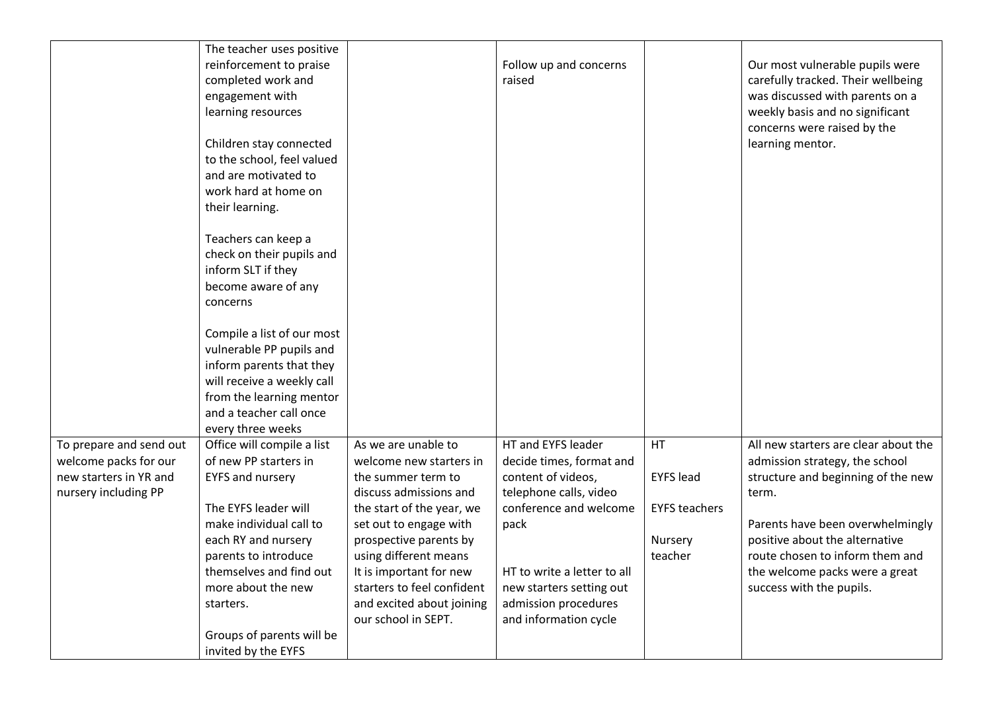|                         | The teacher uses positive                      |                                                  |                             |                      |                                                                    |
|-------------------------|------------------------------------------------|--------------------------------------------------|-----------------------------|----------------------|--------------------------------------------------------------------|
|                         | reinforcement to praise                        |                                                  | Follow up and concerns      |                      | Our most vulnerable pupils were                                    |
|                         | completed work and                             |                                                  | raised                      |                      | carefully tracked. Their wellbeing                                 |
|                         | engagement with                                |                                                  |                             |                      | was discussed with parents on a                                    |
|                         | learning resources                             |                                                  |                             |                      | weekly basis and no significant                                    |
|                         | Children stay connected                        |                                                  |                             |                      | concerns were raised by the<br>learning mentor.                    |
|                         | to the school, feel valued                     |                                                  |                             |                      |                                                                    |
|                         | and are motivated to                           |                                                  |                             |                      |                                                                    |
|                         | work hard at home on                           |                                                  |                             |                      |                                                                    |
|                         | their learning.                                |                                                  |                             |                      |                                                                    |
|                         |                                                |                                                  |                             |                      |                                                                    |
|                         | Teachers can keep a                            |                                                  |                             |                      |                                                                    |
|                         | check on their pupils and                      |                                                  |                             |                      |                                                                    |
|                         | inform SLT if they                             |                                                  |                             |                      |                                                                    |
|                         | become aware of any                            |                                                  |                             |                      |                                                                    |
|                         | concerns                                       |                                                  |                             |                      |                                                                    |
|                         | Compile a list of our most                     |                                                  |                             |                      |                                                                    |
|                         | vulnerable PP pupils and                       |                                                  |                             |                      |                                                                    |
|                         | inform parents that they                       |                                                  |                             |                      |                                                                    |
|                         | will receive a weekly call                     |                                                  |                             |                      |                                                                    |
|                         | from the learning mentor                       |                                                  |                             |                      |                                                                    |
|                         | and a teacher call once                        |                                                  |                             |                      |                                                                    |
|                         | every three weeks                              |                                                  |                             |                      |                                                                    |
| To prepare and send out | Office will compile a list                     | As we are unable to                              | HT and EYFS leader          | HT                   | All new starters are clear about the                               |
| welcome packs for our   | of new PP starters in                          | welcome new starters in                          | decide times, format and    |                      | admission strategy, the school                                     |
| new starters in YR and  | <b>EYFS and nursery</b>                        | the summer term to                               | content of videos,          | <b>EYFS lead</b>     | structure and beginning of the new                                 |
| nursery including PP    |                                                | discuss admissions and                           | telephone calls, video      |                      | term.                                                              |
|                         | The EYFS leader will                           | the start of the year, we                        | conference and welcome      | <b>EYFS teachers</b> |                                                                    |
|                         | make individual call to<br>each RY and nursery | set out to engage with<br>prospective parents by | pack                        | Nursery              | Parents have been overwhelmingly<br>positive about the alternative |
|                         | parents to introduce                           | using different means                            |                             | teacher              | route chosen to inform them and                                    |
|                         | themselves and find out                        | It is important for new                          | HT to write a letter to all |                      | the welcome packs were a great                                     |
|                         | more about the new                             | starters to feel confident                       | new starters setting out    |                      | success with the pupils.                                           |
|                         | starters.                                      | and excited about joining                        | admission procedures        |                      |                                                                    |
|                         |                                                | our school in SEPT.                              | and information cycle       |                      |                                                                    |
|                         | Groups of parents will be                      |                                                  |                             |                      |                                                                    |
|                         | invited by the EYFS                            |                                                  |                             |                      |                                                                    |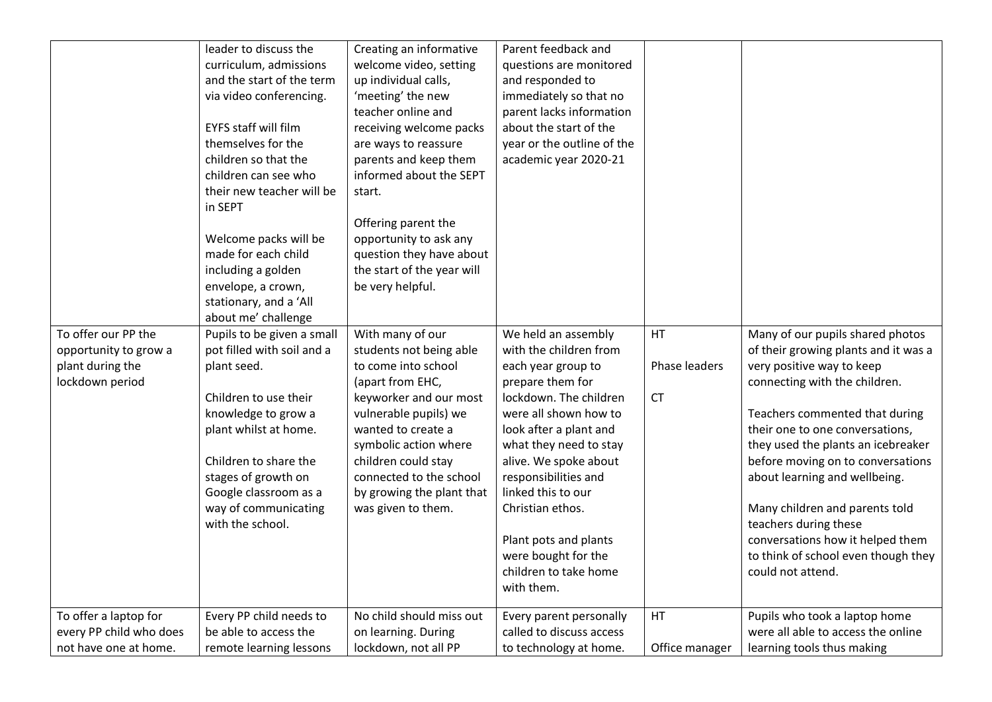|                                                                                     | leader to discuss the<br>curriculum, admissions<br>and the start of the term<br>via video conferencing.<br>EYFS staff will film<br>themselves for the<br>children so that the<br>children can see who<br>their new teacher will be<br>in SEPT<br>Welcome packs will be<br>made for each child<br>including a golden<br>envelope, a crown,<br>stationary, and a 'All<br>about me' challenge | Creating an informative<br>welcome video, setting<br>up individual calls,<br>'meeting' the new<br>teacher online and<br>receiving welcome packs<br>are ways to reassure<br>parents and keep them<br>informed about the SEPT<br>start.<br>Offering parent the<br>opportunity to ask any<br>question they have about<br>the start of the year will<br>be very helpful. | Parent feedback and<br>questions are monitored<br>and responded to<br>immediately so that no<br>parent lacks information<br>about the start of the<br>year or the outline of the<br>academic year 2020-21                                                                                                                                                                        |                                  |                                                                                                                                                                                                                                                                                                                                                                                                                                                                                    |
|-------------------------------------------------------------------------------------|--------------------------------------------------------------------------------------------------------------------------------------------------------------------------------------------------------------------------------------------------------------------------------------------------------------------------------------------------------------------------------------------|----------------------------------------------------------------------------------------------------------------------------------------------------------------------------------------------------------------------------------------------------------------------------------------------------------------------------------------------------------------------|----------------------------------------------------------------------------------------------------------------------------------------------------------------------------------------------------------------------------------------------------------------------------------------------------------------------------------------------------------------------------------|----------------------------------|------------------------------------------------------------------------------------------------------------------------------------------------------------------------------------------------------------------------------------------------------------------------------------------------------------------------------------------------------------------------------------------------------------------------------------------------------------------------------------|
| To offer our PP the<br>opportunity to grow a<br>plant during the<br>lockdown period | Pupils to be given a small<br>pot filled with soil and a<br>plant seed.<br>Children to use their<br>knowledge to grow a<br>plant whilst at home.<br>Children to share the<br>stages of growth on<br>Google classroom as a<br>way of communicating<br>with the school.                                                                                                                      | With many of our<br>students not being able<br>to come into school<br>(apart from EHC,<br>keyworker and our most<br>vulnerable pupils) we<br>wanted to create a<br>symbolic action where<br>children could stay<br>connected to the school<br>by growing the plant that<br>was given to them.                                                                        | We held an assembly<br>with the children from<br>each year group to<br>prepare them for<br>lockdown. The children<br>were all shown how to<br>look after a plant and<br>what they need to stay<br>alive. We spoke about<br>responsibilities and<br>linked this to our<br>Christian ethos.<br>Plant pots and plants<br>were bought for the<br>children to take home<br>with them. | HT<br>Phase leaders<br><b>CT</b> | Many of our pupils shared photos<br>of their growing plants and it was a<br>very positive way to keep<br>connecting with the children.<br>Teachers commented that during<br>their one to one conversations,<br>they used the plants an icebreaker<br>before moving on to conversations<br>about learning and wellbeing.<br>Many children and parents told<br>teachers during these<br>conversations how it helped them<br>to think of school even though they<br>could not attend. |
| To offer a laptop for<br>every PP child who does<br>not have one at home.           | Every PP child needs to<br>be able to access the<br>remote learning lessons                                                                                                                                                                                                                                                                                                                | No child should miss out<br>on learning. During<br>lockdown, not all PP                                                                                                                                                                                                                                                                                              | Every parent personally<br>called to discuss access<br>to technology at home.                                                                                                                                                                                                                                                                                                    | HT<br>Office manager             | Pupils who took a laptop home<br>were all able to access the online<br>learning tools thus making                                                                                                                                                                                                                                                                                                                                                                                  |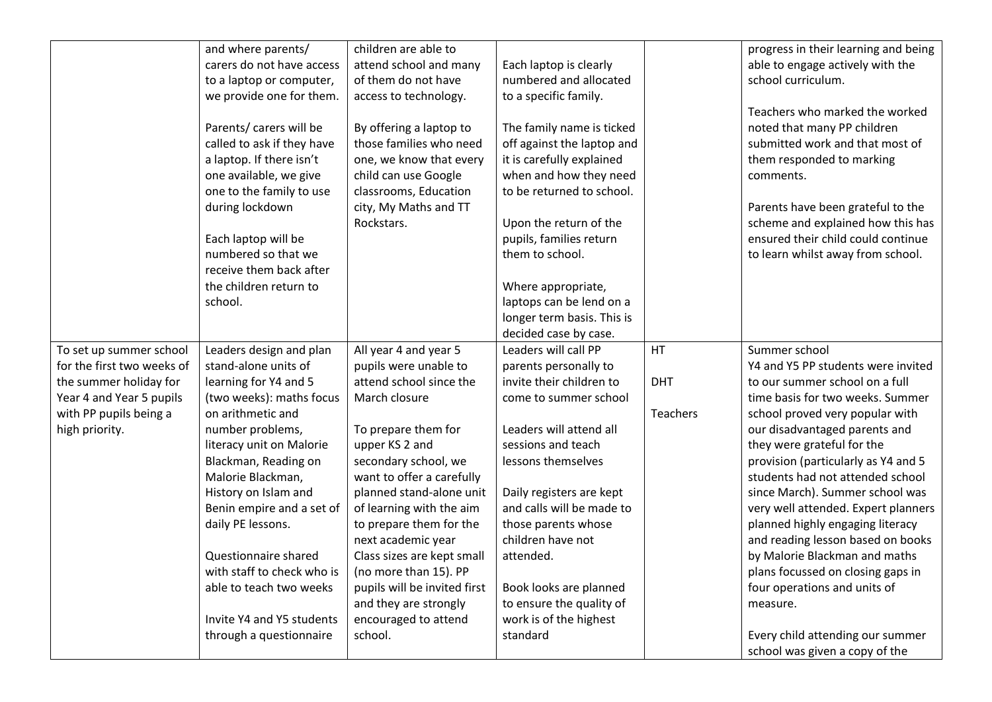|                            | and where parents/         | children are able to         |                                                     |            | progress in their learning and being |
|----------------------------|----------------------------|------------------------------|-----------------------------------------------------|------------|--------------------------------------|
|                            | carers do not have access  | attend school and many       | Each laptop is clearly                              |            | able to engage actively with the     |
|                            | to a laptop or computer,   | of them do not have          | numbered and allocated                              |            | school curriculum.                   |
|                            | we provide one for them.   | access to technology.        | to a specific family.                               |            |                                      |
|                            |                            |                              |                                                     |            | Teachers who marked the worked       |
|                            | Parents/ carers will be    | By offering a laptop to      | The family name is ticked                           |            | noted that many PP children          |
|                            | called to ask if they have | those families who need      | off against the laptop and                          |            | submitted work and that most of      |
|                            | a laptop. If there isn't   | one, we know that every      | it is carefully explained                           |            | them responded to marking            |
|                            |                            |                              |                                                     |            |                                      |
|                            | one available, we give     | child can use Google         | when and how they need<br>to be returned to school. |            | comments.                            |
|                            | one to the family to use   | classrooms, Education        |                                                     |            |                                      |
|                            | during lockdown            | city, My Maths and TT        |                                                     |            | Parents have been grateful to the    |
|                            |                            | Rockstars.                   | Upon the return of the                              |            | scheme and explained how this has    |
|                            | Each laptop will be        |                              | pupils, families return                             |            | ensured their child could continue   |
|                            | numbered so that we        |                              | them to school.                                     |            | to learn whilst away from school.    |
|                            | receive them back after    |                              |                                                     |            |                                      |
|                            | the children return to     |                              | Where appropriate,                                  |            |                                      |
|                            | school.                    |                              | laptops can be lend on a                            |            |                                      |
|                            |                            |                              | longer term basis. This is                          |            |                                      |
|                            |                            |                              | decided case by case.                               |            |                                      |
| To set up summer school    | Leaders design and plan    | All year 4 and year 5        | Leaders will call PP                                | HT         | Summer school                        |
| for the first two weeks of | stand-alone units of       | pupils were unable to        | parents personally to                               |            | Y4 and Y5 PP students were invited   |
| the summer holiday for     | learning for Y4 and 5      | attend school since the      | invite their children to                            | <b>DHT</b> | to our summer school on a full       |
| Year 4 and Year 5 pupils   | (two weeks): maths focus   | March closure                | come to summer school                               |            | time basis for two weeks. Summer     |
| with PP pupils being a     | on arithmetic and          |                              |                                                     | Teachers   | school proved very popular with      |
| high priority.             | number problems,           | To prepare them for          | Leaders will attend all                             |            | our disadvantaged parents and        |
|                            | literacy unit on Malorie   | upper KS 2 and               | sessions and teach                                  |            | they were grateful for the           |
|                            | Blackman, Reading on       | secondary school, we         | lessons themselves                                  |            | provision (particularly as Y4 and 5  |
|                            | Malorie Blackman,          | want to offer a carefully    |                                                     |            | students had not attended school     |
|                            | History on Islam and       | planned stand-alone unit     | Daily registers are kept                            |            | since March). Summer school was      |
|                            | Benin empire and a set of  | of learning with the aim     | and calls will be made to                           |            | very well attended. Expert planners  |
|                            | daily PE lessons.          | to prepare them for the      | those parents whose                                 |            | planned highly engaging literacy     |
|                            |                            | next academic year           | children have not                                   |            | and reading lesson based on books    |
|                            | Questionnaire shared       | Class sizes are kept small   | attended.                                           |            | by Malorie Blackman and maths        |
|                            | with staff to check who is | (no more than 15). PP        |                                                     |            | plans focussed on closing gaps in    |
|                            | able to teach two weeks    | pupils will be invited first | Book looks are planned                              |            | four operations and units of         |
|                            |                            | and they are strongly        | to ensure the quality of                            |            | measure.                             |
|                            | Invite Y4 and Y5 students  | encouraged to attend         | work is of the highest                              |            |                                      |
|                            | through a questionnaire    | school.                      | standard                                            |            |                                      |
|                            |                            |                              |                                                     |            | Every child attending our summer     |
|                            |                            |                              |                                                     |            | school was given a copy of the       |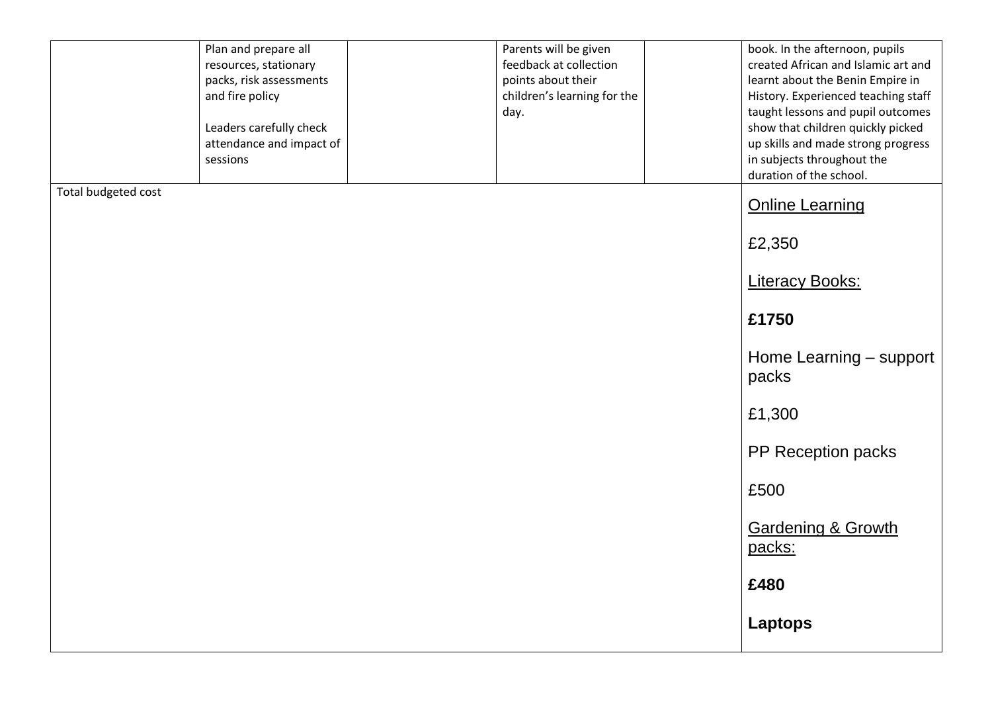|                     | Plan and prepare all                 | Parents will be given       | book. In the afternoon, pupils                                   |
|---------------------|--------------------------------------|-----------------------------|------------------------------------------------------------------|
|                     | resources, stationary                | feedback at collection      | created African and Islamic art and                              |
|                     | packs, risk assessments              | points about their          | learnt about the Benin Empire in                                 |
|                     | and fire policy                      | children's learning for the | History. Experienced teaching staff                              |
|                     |                                      | day.                        | taught lessons and pupil outcomes                                |
|                     | Leaders carefully check              |                             | show that children quickly picked                                |
|                     | attendance and impact of<br>sessions |                             | up skills and made strong progress<br>in subjects throughout the |
|                     |                                      |                             | duration of the school.                                          |
| Total budgeted cost |                                      |                             |                                                                  |
|                     |                                      |                             | <b>Online Learning</b>                                           |
|                     |                                      |                             | £2,350                                                           |
|                     |                                      |                             | <b>Literacy Books:</b>                                           |
|                     |                                      |                             | £1750                                                            |
|                     |                                      |                             | Home Learning - support<br>packs                                 |
|                     |                                      |                             | £1,300                                                           |
|                     |                                      |                             | PP Reception packs                                               |
|                     |                                      |                             | £500                                                             |
|                     |                                      |                             | <b>Gardening &amp; Growth</b><br>packs:                          |
|                     |                                      |                             | £480                                                             |
|                     |                                      |                             | <b>Laptops</b>                                                   |